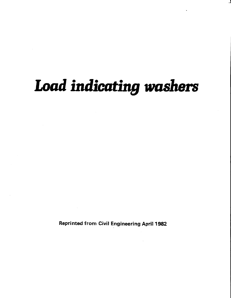# Load indicating washers

**Reprinted from Civil Engineering April 1982**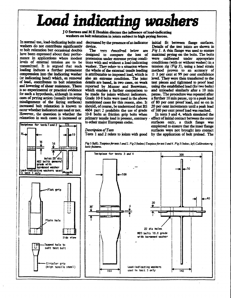# Load indicating washers

JO Surtees and ME Ibrahim discuss the influence of load-indicating washers on bolt relaxation in joints subject to high prying forces.

In normal use, load-indicating bolts and decreased by the presence of an indicator initial fit between flange surfaces. washers do not contribute significantly te bolt relaxation but occasional doubts have been expressed about their performance in applications where modest levels of external tension are to be transmitted. It is argued that such loading induces a further permanent compression into the indicating washer (or indicating head) which, on removal of load, contributes to bolt relaxation and lowering of shear resistance. There is no experimental or practical evidence for such a hypothesis, although in some cases of prying action (usually involving misalignment of the faving surfaces) increased bolt relaxation is known to occur whether indicators are used or not. However, the question is whether the relaxation in such cases is increased or

16

Holes 25 dia W22 bolts general arade with hardened washer

Flat grip

Plain hole

Tapped hole to suit test bolt

Circular grip

(high tensile steel)

Testpiece for tests land 2 i

Load-indicating washers used

in test 1 only

75

device.

The **N** tests described below are designed to compare the loss of pretension under extreme prving conditions with and without a load-indicating washer. They relate to a situation where the whole of the external tensile loading is attributable to imposed load, which is also an extreme condition. The joint details are based, in two cases, on work reported by Munter and Bouwman, which enables a further comparison to be made for joints without indicators. Grade 10-8 bolts were used in the above mentioned cases for this reason, also. It should, of course, be understood that BS 4604 part 2 prohibits the use of grade 10-8 bolts as friction grip bolts when primary tensile load is present, contrary . to other major European codes.

Details of the test joints are shown in Fig 1. A thin flange was used to ensure maximal prying on the bolts. The bolts were calibrated under appropriate conditions (with or without washer) in a tension rig  $(Fig 3)$ , using a head strain method proven to an accuracy of  $±$  3 per cent at 99 per cent confidence level. They were then transferred to the test pieces and tightened to proof load using the established load (for two bolts) and unloaded similarly after a 10 min pause. The procedure was repeated after a further 10 min pause, up to a peak load of 80 per cent proof load, and so on in 20 per cent increments until a peak load of 160 per cent proof load was reached.

In tests 3 and 4, which simulated the effect of initial contact between the outer surfaces only, a thick flange was employed to ensure that the inner flange surfaces were not brought into contact Tests 1 and 2 relate to joints with good by the application of bolt preload. The

## Description of Tests

١ō

بشلي

Side



Fig 1 (left). Testpiece for tests 1 and 2. Fig 2 (below) Testpiece for test 3 and 4. Fig 3 (below, left) Calibration rig basic features.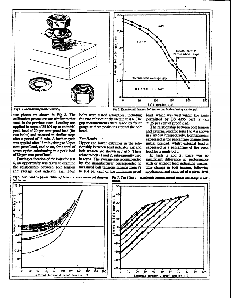



Fig 4. Load indicating washer assembly.

test pieces are shown in Fig 2. The calibration procedure was similar to that used in the previous tests. Loading was applied in steps of 25 kN up to an initial peak load of 20 per cent proof load (for two boits) and released in similar steps after a period of 15 min. A further cycle was applied after 15 min, rising to 30 per cent proof load, and so on, for a total of seven cycles culminating in a peak load of 80 per cent proof load.

During calibration of the bolts for test 4, an opportunity was taken to examine the relationship between bolt tension

bolts were tested altogether, including the two subsequently used in test 4. The gap measurements were made by feeler gauge at three positions around the bolt head.

## Test Results

Upper and lower extremes in the relationship between load indicator gap and bolt tension are shown in Fig 5. These relate to bolts 1 and 2, subsequently used in test 4. The average gap recommended by the manufacturer corresponded to measured bolt tensions ranging from 98 and average load indicator gap. Four to 104 per cent of the minimum proof

load, which was well within the range permitted by BS 4395 part 2 (viz

 $\pm$  15 per cent of proof load). The relationship between bolt tension and external load for tests 1 to 4 is shown in  $Figs 6$  to 9 respectively. Bolt tension is expressed as the percentage change from initial preload, whilst external load is expressed as a percentage of the proof load for a single bolt.

In tests I and 2, there was no significant difference in performance with or without load indicating washer. The change in bolt tension, following application and removal of a given level

Fig 6. Tests 1 and 2 - sypical relationship between external tension and change in Fig 7. Test 3Jbolt 1 - relationship between external tension and change in bolt bolt tension.